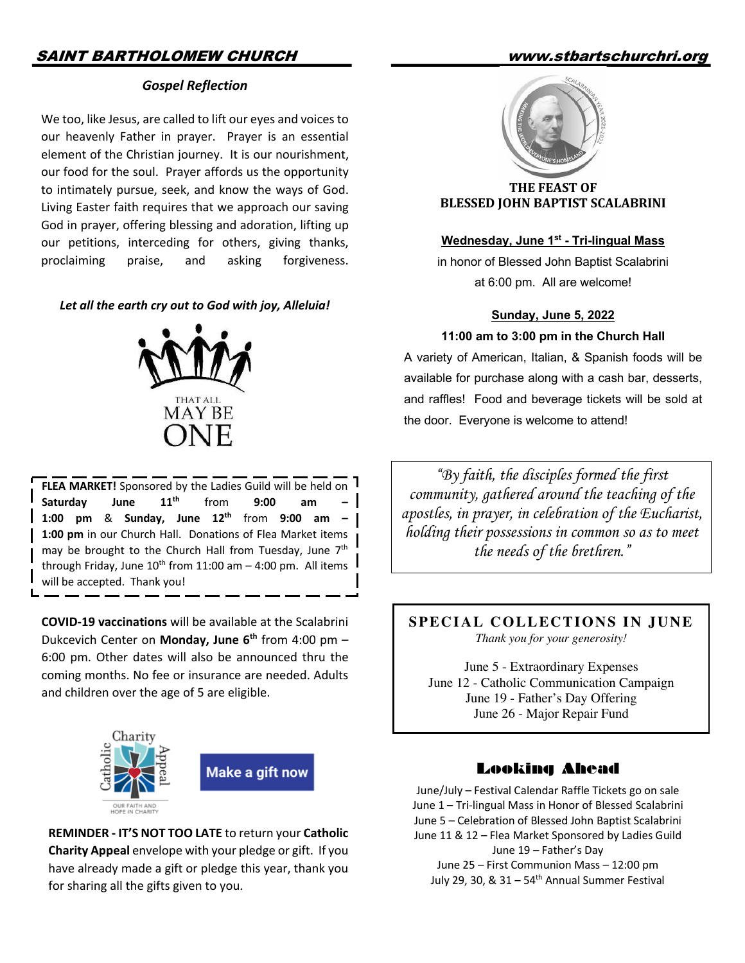# SAINT BARTHOLOMEW CHURCH www.stbartschurchri.org

## *Gospel Reflection*

We too, like Jesus, are called to lift our eyes and voices to our heavenly Father in prayer. Prayer is an essential element of the Christian journey. It is our nourishment, our food for the soul. Prayer affords us the opportunity to intimately pursue, seek, and know the ways of God. Living Easter faith requires that we approach our saving God in prayer, offering blessing and adoration, lifting up our petitions, interceding for others, giving thanks, proclaiming praise, and asking forgiveness.

#### *Let all the earth cry out to God with joy, Alleluia!*



**FLEA MARKET!** Sponsored by the Ladies Guild will be held on Saturday June 11<sup>th</sup> from 9:00 am **1:00 pm** & **Sunday, June 12th** from **9:00 am – 1:00 pm** in our Church Hall. Donations of Flea Market items may be brought to the Church Hall from Tuesday, June 7<sup>th</sup> through Friday, June  $10^{th}$  from 11:00 am  $-$  4:00 pm. All items  $\parallel$ will be accepted. Thank you!

**COVID-19 vaccinations** will be available at the Scalabrini Dukcevich Center on Monday, June 6<sup>th</sup> from 4:00 pm -6:00 pm. Other dates will also be announced thru the coming months. No fee or insurance are needed. Adults and children over the age of 5 are eligible.



**REMINDER - IT'S NOT TOO LATE** to return your **Catholic Charity Appeal** envelope with your pledge or gift. If you have already made a gift or pledge this year, thank you for sharing all the gifts given to you.



**THE FEAST OF BLESSED JOHN BAPTIST SCALABRINI** 

### **Wednesday, June 1st - Tri-lingual Mass**

in honor of Blessed John Baptist Scalabrini at 6:00 pm. All are welcome!

#### **Sunday, June 5, 2022**

#### **11:00 am to 3:00 pm in the Church Hall**

A variety of American, Italian, & Spanish foods will be available for purchase along with a cash bar, desserts, and raffles! Food and beverage tickets will be sold at the door. Everyone is welcome to attend!

*"By faith, the disciples formed the first community, gathered around the teaching of the apostles, in prayer, in celebration of the Eucharist, holding their possessions in common so as to meet the needs of the brethren."*

**SPECIAL COLLECTIONS IN JUNE** *Thank you for your generosity!*

June 5 - Extraordinary Expenses June 12 - Catholic Communication Campaign June 19 - Father's Day Offering June 26 - Major Repair Fund

#### Looking Ahead Louring Anche

June/July – Festival Calendar Raffle Tickets go on sale June 1 – Tri-lingual Mass in Honor of Blessed Scalabrini June 5 – Celebration of Blessed John Baptist Scalabrini June 11 & 12 – Flea Market Sponsored by Ladies Guild June 19 – Father's Day June 25 – First Communion Mass – 12:00 pm July 29, 30,  $\&$  31 – 54<sup>th</sup> Annual Summer Festival